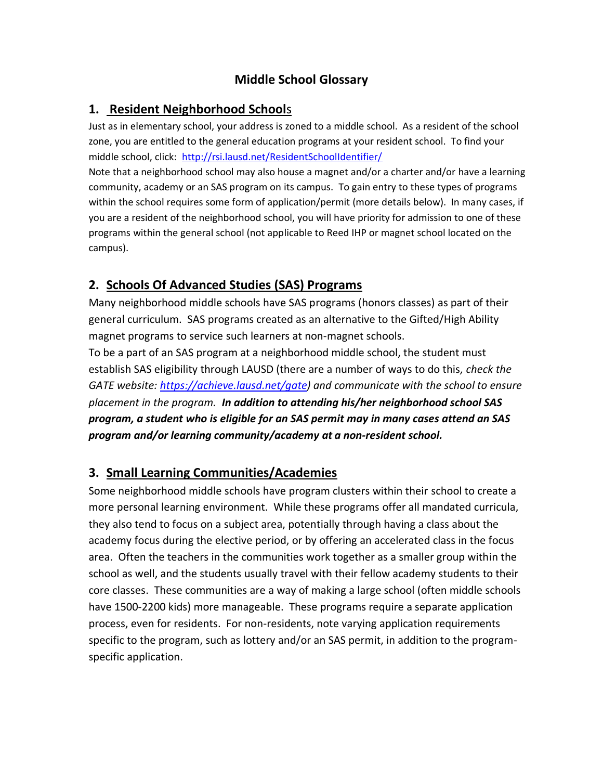# **Middle School Glossary**

### **1. Resident Neighborhood School**s

Just as in elementary school, your address is zoned to a middle school. As a resident of the school zone, you are entitled to the general education programs at your resident school. To find your middle school, click:<http://rsi.lausd.net/ResidentSchoolIdentifier/>

Note that a neighborhood school may also house a magnet and/or a charter and/or have a learning community, academy or an SAS program on its campus. To gain entry to these types of programs within the school requires some form of application/permit (more details below). In many cases, if you are a resident of the neighborhood school, you will have priority for admission to one of these programs within the general school (not applicable to Reed IHP or magnet school located on the campus).

#### **2. Schools Of Advanced Studies (SAS) Programs**

Many neighborhood middle schools have SAS programs (honors classes) as part of their general curriculum. SAS programs created as an alternative to the Gifted/High Ability magnet programs to service such learners at non-magnet schools.

To be a part of an SAS program at a neighborhood middle school, the student must establish SAS eligibility through LAUSD (there are a number of ways to do this*, check the GATE website: [https://achieve.lausd.net/gate\)](https://achieve.lausd.net/gate) and communicate with the school to ensure placement in the program. In addition to attending his/her neighborhood school SAS program, a student who is eligible for an SAS permit may in many cases attend an SAS program and/or learning community/academy at a non-resident school.*

### **3. Small Learning Communities/Academies**

Some neighborhood middle schools have program clusters within their school to create a more personal learning environment. While these programs offer all mandated curricula, they also tend to focus on a subject area, potentially through having a class about the academy focus during the elective period, or by offering an accelerated class in the focus area. Often the teachers in the communities work together as a smaller group within the school as well, and the students usually travel with their fellow academy students to their core classes. These communities are a way of making a large school (often middle schools have 1500-2200 kids) more manageable. These programs require a separate application process, even for residents. For non-residents, note varying application requirements specific to the program, such as lottery and/or an SAS permit, in addition to the programspecific application.